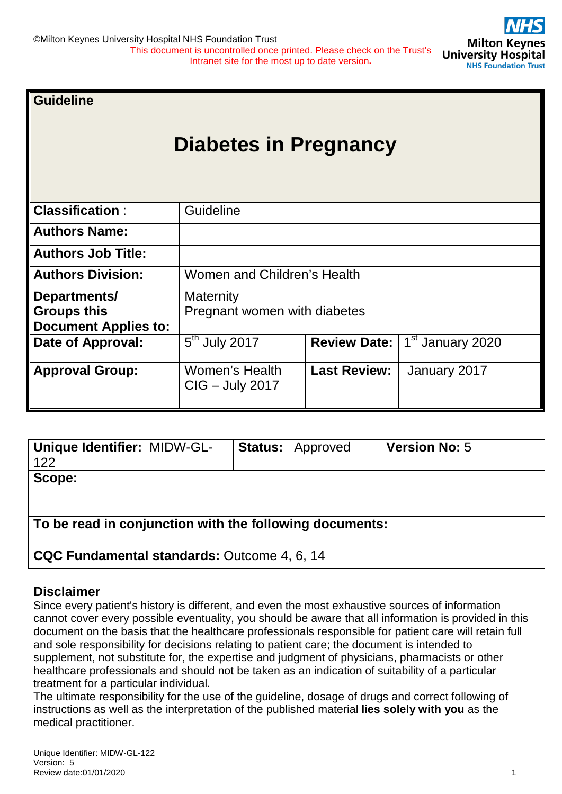

| <b>Guideline</b>                                                  |                                                  |                     |                              |  |  |  |  |  |  |
|-------------------------------------------------------------------|--------------------------------------------------|---------------------|------------------------------|--|--|--|--|--|--|
| Diabetes in Pregnancy                                             |                                                  |                     |                              |  |  |  |  |  |  |
| <b>Classification:</b>                                            | Guideline                                        |                     |                              |  |  |  |  |  |  |
| <b>Authors Name:</b>                                              |                                                  |                     |                              |  |  |  |  |  |  |
| <b>Authors Job Title:</b>                                         |                                                  |                     |                              |  |  |  |  |  |  |
| <b>Authors Division:</b>                                          | Women and Children's Health                      |                     |                              |  |  |  |  |  |  |
| Departments/<br><b>Groups this</b><br><b>Document Applies to:</b> | <b>Maternity</b><br>Pregnant women with diabetes |                     |                              |  |  |  |  |  |  |
| Date of Approval:                                                 | $5th$ July 2017                                  | <b>Review Date:</b> | 1 <sup>st</sup> January 2020 |  |  |  |  |  |  |
| <b>Approval Group:</b>                                            | Women's Health<br>$CIG - July 2017$              | <b>Last Review:</b> | January 2017                 |  |  |  |  |  |  |

| <b>Unique Identifier: MIDW-GL-</b><br>122               | <b>Status: Approved</b> | <b>Version No: 5</b> |
|---------------------------------------------------------|-------------------------|----------------------|
| Scope:                                                  |                         |                      |
| To be read in conjunction with the following documents: |                         |                      |
| CQC Fundamental standards: Outcome 4, 6, 14             |                         |                      |

## **Disclaimer**

Since every patient's history is different, and even the most exhaustive sources of information cannot cover every possible eventuality, you should be aware that all information is provided in this document on the basis that the healthcare professionals responsible for patient care will retain full and sole responsibility for decisions relating to patient care; the document is intended to supplement, not substitute for, the expertise and judgment of physicians, pharmacists or other healthcare professionals and should not be taken as an indication of suitability of a particular treatment for a particular individual.

The ultimate responsibility for the use of the guideline, dosage of drugs and correct following of instructions as well as the interpretation of the published material **lies solely with you** as the medical practitioner.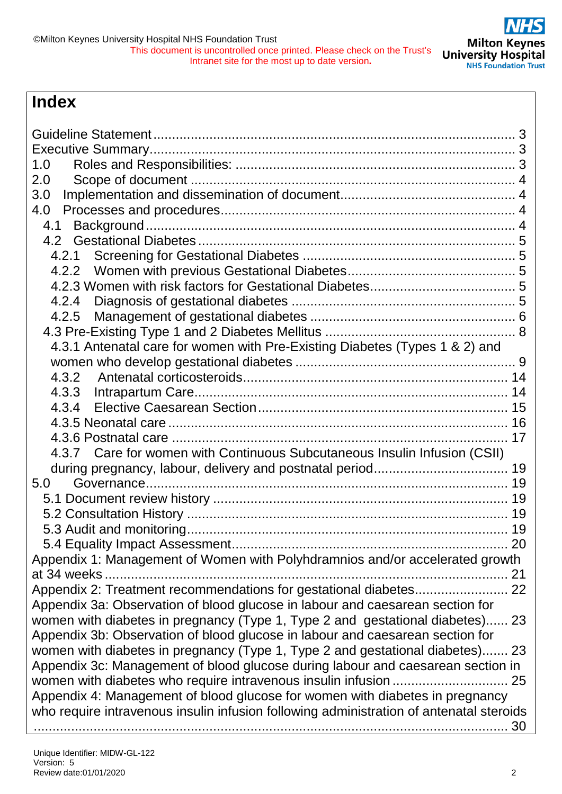

# **Index**

| 1.0                                                                                     |
|-----------------------------------------------------------------------------------------|
| 2.0                                                                                     |
| 3.0                                                                                     |
| 4.0                                                                                     |
| 4.1                                                                                     |
|                                                                                         |
|                                                                                         |
|                                                                                         |
|                                                                                         |
| 4.2.4                                                                                   |
| 4.2.5                                                                                   |
|                                                                                         |
| 4.3.1 Antenatal care for women with Pre-Existing Diabetes (Types 1 & 2) and             |
|                                                                                         |
| 4.3.2                                                                                   |
| 4.3.3                                                                                   |
| 4.3.4                                                                                   |
|                                                                                         |
|                                                                                         |
| 4.3.7 Care for women with Continuous Subcutaneous Insulin Infusion (CSII)               |
|                                                                                         |
| 5.0                                                                                     |
|                                                                                         |
|                                                                                         |
|                                                                                         |
|                                                                                         |
| Appendix 1: Management of Women with Polyhdramnios and/or accelerated growth            |
| at 34 weeks.                                                                            |
| Appendix 2: Treatment recommendations for gestational diabetes 22                       |
| Appendix 3a: Observation of blood glucose in labour and caesarean section for           |
| women with diabetes in pregnancy (Type 1, Type 2 and gestational diabetes) 23           |
| Appendix 3b: Observation of blood glucose in labour and caesarean section for           |
| women with diabetes in pregnancy (Type 1, Type 2 and gestational diabetes) 23           |
| Appendix 3c: Management of blood glucose during labour and caesarean section in         |
|                                                                                         |
| Appendix 4: Management of blood glucose for women with diabetes in pregnancy            |
| who require intravenous insulin infusion following administration of antenatal steroids |
| 30                                                                                      |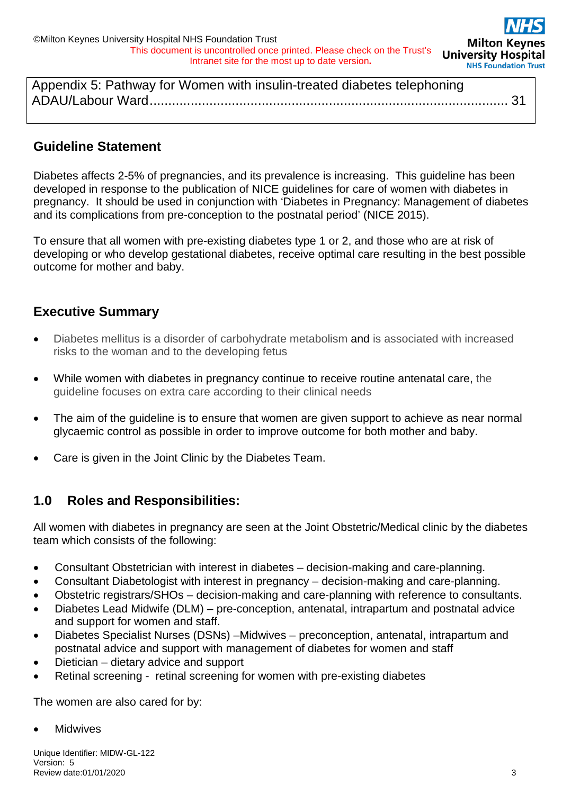

[Appendix 5: Pathway for Women with insulin-treated diabetes telephoning](#page-30-0)  [ADAU/Labour Ward................................................................................................](#page-30-0) 31

## <span id="page-2-0"></span>**Guideline Statement**

Diabetes affects 2-5% of pregnancies, and its prevalence is increasing. This guideline has been developed in response to the publication of NICE guidelines for care of women with diabetes in pregnancy. It should be used in conjunction with 'Diabetes in Pregnancy: Management of diabetes and its complications from pre-conception to the postnatal period' (NICE 2015).

To ensure that all women with pre-existing diabetes type 1 or 2, and those who are at risk of developing or who develop gestational diabetes, receive optimal care resulting in the best possible outcome for mother and baby.

## <span id="page-2-1"></span>**Executive Summary**

- Diabetes mellitus is a disorder of carbohydrate metabolism and is associated with increased risks to the woman and to the developing fetus
- While women with diabetes in pregnancy continue to receive routine antenatal care, the guideline focuses on extra care according to their clinical needs
- The aim of the quideline is to ensure that women are given support to achieve as near normal glycaemic control as possible in order to improve outcome for both mother and baby.
- Care is given in the Joint Clinic by the Diabetes Team.

## <span id="page-2-2"></span>**1.0 Roles and Responsibilities:**

All women with diabetes in pregnancy are seen at the Joint Obstetric/Medical clinic by the diabetes team which consists of the following:

- Consultant Obstetrician with interest in diabetes decision-making and care-planning.
- Consultant Diabetologist with interest in pregnancy decision-making and care-planning.
- Obstetric registrars/SHOs decision-making and care-planning with reference to consultants.
- Diabetes Lead Midwife (DLM) pre-conception, antenatal, intrapartum and postnatal advice and support for women and staff.
- Diabetes Specialist Nurses (DSNs) –Midwives preconception, antenatal, intrapartum and postnatal advice and support with management of diabetes for women and staff
- Dietician dietary advice and support
- Retinal screening retinal screening for women with pre-existing diabetes

The women are also cared for by:

**Midwives** 

Unique Identifier: MIDW-GL-122 Version: 5 Review date:01/01/2020 3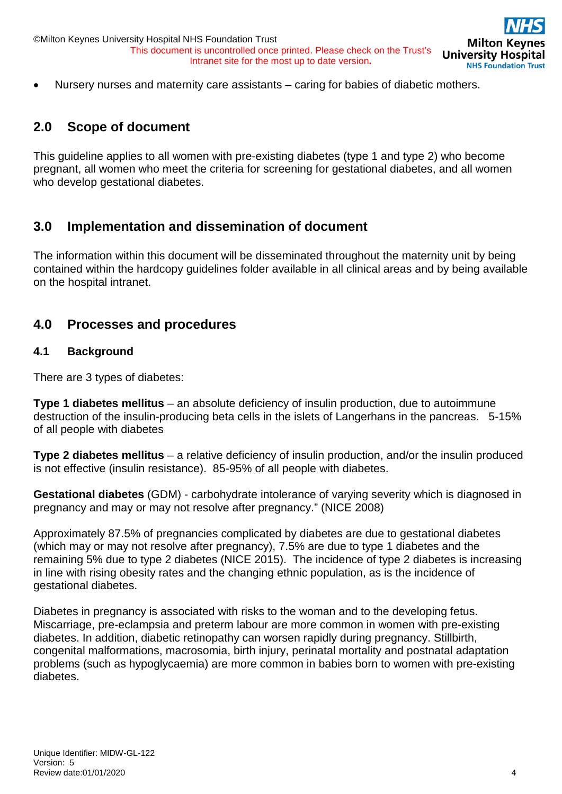

• Nursery nurses and maternity care assistants – caring for babies of diabetic mothers.

# <span id="page-3-0"></span>**2.0 Scope of document**

This guideline applies to all women with pre-existing diabetes (type 1 and type 2) who become pregnant, all women who meet the criteria for screening for gestational diabetes, and all women who develop gestational diabetes.

# <span id="page-3-1"></span>**3.0 Implementation and dissemination of document**

The information within this document will be disseminated throughout the maternity unit by being contained within the hardcopy guidelines folder available in all clinical areas and by being available on the hospital intranet.

## <span id="page-3-2"></span>**4.0 Processes and procedures**

### <span id="page-3-3"></span>**4.1 Background**

There are 3 types of diabetes:

**Type 1 diabetes mellitus** – an absolute deficiency of insulin production, due to autoimmune destruction of the insulin-producing beta cells in the islets of Langerhans in the pancreas. 5-15% of all people with diabetes

**Type 2 diabetes mellitus** – a relative deficiency of insulin production, and/or the insulin produced is not effective (insulin resistance). 85-95% of all people with diabetes.

**Gestational diabetes** (GDM) - carbohydrate intolerance of varying severity which is diagnosed in pregnancy and may or may not resolve after pregnancy." (NICE 2008)

Approximately 87.5% of pregnancies complicated by diabetes are due to gestational diabetes (which may or may not resolve after pregnancy), 7.5% are due to type 1 diabetes and the remaining 5% due to type 2 diabetes (NICE 2015). The incidence of type 2 diabetes is increasing in line with rising obesity rates and the changing ethnic population, as is the incidence of gestational diabetes.

Diabetes in pregnancy is associated with risks to the woman and to the developing fetus. Miscarriage, pre-eclampsia and preterm labour are more common in women with pre-existing diabetes. In addition, diabetic retinopathy can worsen rapidly during pregnancy. Stillbirth, congenital malformations, macrosomia, birth injury, perinatal mortality and postnatal adaptation problems (such as hypoglycaemia) are more common in babies born to women with pre-existing diabetes.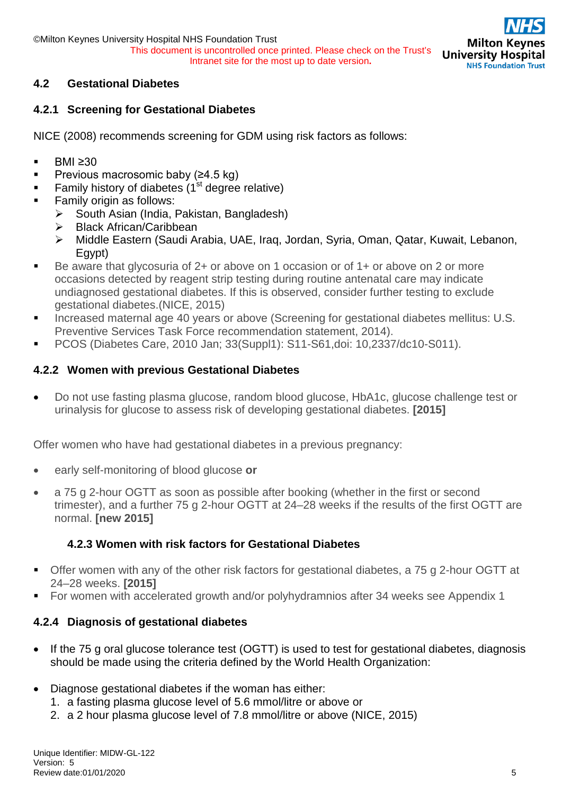This document is uncontrolled once printed. Please check on the Trust's Intranet site for the most up to date version**.**



## <span id="page-4-0"></span>**4.2 Gestational Diabetes**

#### <span id="page-4-1"></span>**4.2.1 Screening for Gestational Diabetes**

NICE (2008) recommends screening for GDM using risk factors as follows:

- BMI ≥30
- Previous macrosomic baby (≥4.5 kg)
- Family history of diabetes  $(1<sup>st</sup>$  degree relative)
- Family origin as follows:
	- $\triangleright$  South Asian (India, Pakistan, Bangladesh)
	- > Black African/Caribbean<br>> Middle Eastern (Saudi A
	- Middle Eastern (Saudi Arabia, UAE, Iraq, Jordan, Syria, Oman, Qatar, Kuwait, Lebanon, Egypt)
- Be aware that glycosuria of 2+ or above on 1 occasion or of 1+ or above on 2 or more occasions detected by reagent strip testing during routine antenatal care may indicate undiagnosed gestational diabetes. If this is observed, consider further testing to exclude gestational diabetes.(NICE, 2015)
- Increased maternal age 40 years or above (Screening for gestational diabetes mellitus: U.S. Preventive Services Task Force recommendation statement, 2014).
- PCOS (Diabetes Care, 2010 Jan; 33(Suppl1): S11-S61,doi: 10,2337/dc10-S011).

#### <span id="page-4-2"></span>**4.2.2 Women with previous Gestational Diabetes**

• Do not use fasting plasma glucose, random blood glucose, HbA1c, glucose challenge test or urinalysis for glucose to assess risk of developing gestational diabetes. **[2015]**

Offer women who have had gestational diabetes in a previous pregnancy:

- early self-monitoring of blood glucose **or**
- a 75 g 2-hour OGTT as soon as possible after booking (whether in the first or second trimester), and a further 75 g 2-hour OGTT at 24–28 weeks if the results of the first OGTT are normal. **[new 2015]**

#### <span id="page-4-3"></span>**4.2.3 Women with risk factors for Gestational Diabetes**

- Offer women with any of the other risk factors for gestational diabetes, a 75 g 2-hour OGTT at 24–28 weeks. **[2015]**
- For women with accelerated growth and/or polyhydramnios after 34 weeks see Appendix 1

#### <span id="page-4-4"></span>**4.2.4 Diagnosis of gestational diabetes**

- If the 75 g oral glucose tolerance test (OGTT) is used to test for gestational diabetes, diagnosis should be made using the criteria defined by the World Health Organization:
- Diagnose gestational diabetes if the woman has either:
	- 1. a fasting plasma glucose level of 5.6 mmol/litre or above or
	- 2. a 2 hour plasma glucose level of 7.8 mmol/litre or above (NICE, 2015)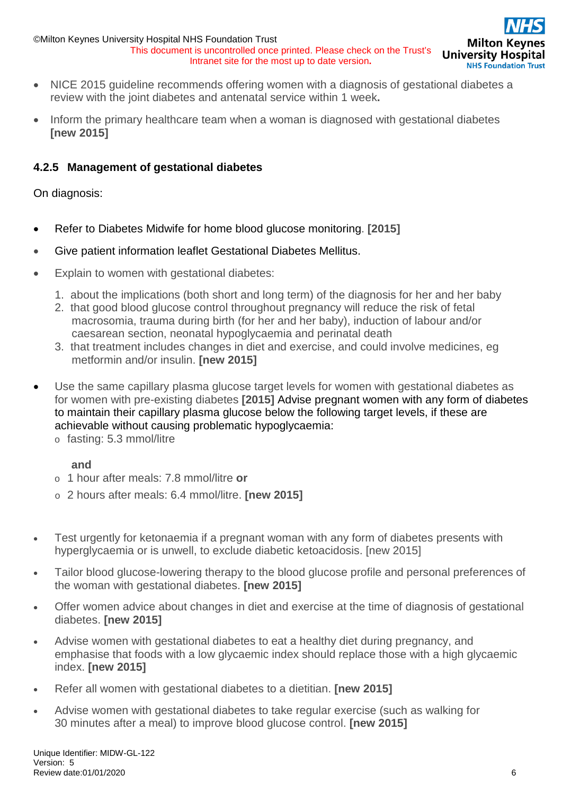©Milton Keynes University Hospital NHS Foundation Trust This document is uncontrolled once printed. Please check on the Trust's Intranet site for the most up to date version**.**



- NICE 2015 guideline recommends offering women with a diagnosis of gestational diabetes a review with the joint diabetes and antenatal service within 1 week**.**
- Inform the primary healthcare team when a woman is diagnosed with gestational diabetes **[new 2015]**

# <span id="page-5-0"></span>**4.2.5 Management of gestational diabetes**

On diagnosis:

- Refer to Diabetes Midwife for home blood glucose monitoring. **[2015]**
- Give patient information leaflet Gestational Diabetes Mellitus.
- Explain to women with gestational diabetes:
	- 1. about the implications (both short and long term) of the diagnosis for her and her baby
	- 2. that good blood glucose control throughout pregnancy will reduce the risk of fetal macrosomia, trauma during birth (for her and her baby), induction of labour and/or caesarean section, neonatal hypoglycaemia and perinatal death
	- 3. that treatment includes changes in diet and exercise, and could involve medicines, eg metformin and/or insulin. **[new 2015]**
- Use the same capillary plasma glucose target levels for women with gestational diabetes as for women with pre-existing diabetes **[2015]** Advise pregnant women with any form of diabetes to maintain their capillary plasma glucose below the following target levels, if these are achievable without causing problematic hypoglycaemia:
	- o fasting: 5.3 mmol/litre

#### **and**

- o 1 hour after meals: 7.8 mmol/litre **or**
- o 2 hours after meals: 6.4 mmol/litre. **[new 2015]**
- Test urgently for ketonaemia if a pregnant woman with any form of diabetes presents with hyperglycaemia or is unwell, to exclude diabetic ketoacidosis. [new 2015]
- Tailor blood glucose-lowering therapy to the blood glucose profile and personal preferences of the woman with gestational diabetes. **[new 2015]**
- Offer women advice about changes in diet and exercise at the time of diagnosis of gestational diabetes. **[new 2015]**
- Advise women with gestational diabetes to eat a healthy diet during pregnancy, and emphasise that foods with a low glycaemic index should replace those with a high glycaemic index. **[new 2015]**
- Refer all women with gestational diabetes to a dietitian. **[new 2015]**
- Advise women with gestational diabetes to take regular exercise (such as walking for 30 minutes after a meal) to improve blood glucose control. **[new 2015]**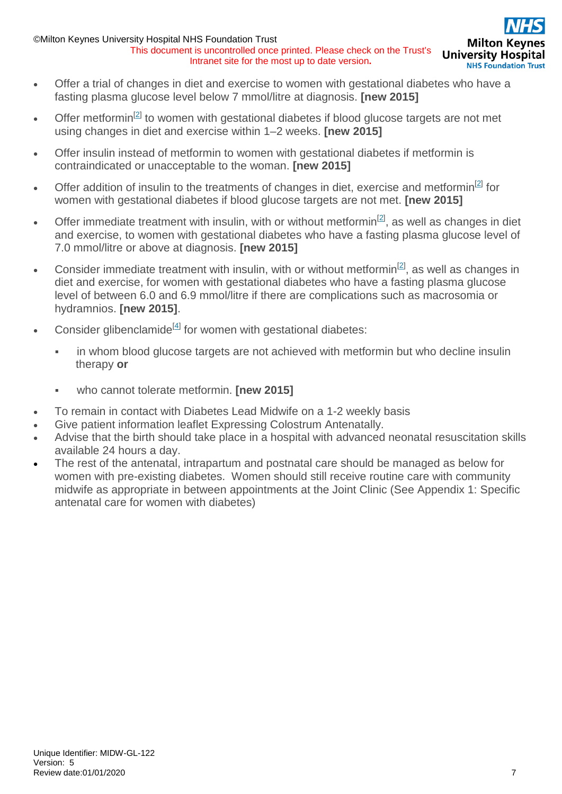

- Offer a trial of changes in diet and exercise to women with gestational diabetes who have a fasting plasma glucose level below 7 mmol/litre at diagnosis. **[new 2015]**
- Offer metformin<sup>[2]</sup> to women with gestational diabetes if blood glucose targets are not met using changes in diet and exercise within 1–2 weeks. **[new 2015]**
- Offer insulin instead of metformin to women with gestational diabetes if metformin is contraindicated or unacceptable to the woman. **[new 2015]**
- Offer addition of insulin to the treatments of changes in diet, exercise and metformin<sup>[\[2\]](https://www.nice.org.uk/guidance/ng3/chapter/1-Recommendations%23ftn.footnote_2)</sup> for women with gestational diabetes if blood glucose targets are not met. **[new 2015]**
- Offer immediate treatment with insulin, with or without metformin<sup>[\[2\]](https://www.nice.org.uk/guidance/ng3/chapter/1-Recommendations%23ftn.footnote_2)</sup>, as well as changes in diet and exercise, to women with gestational diabetes who have a fasting plasma glucose level of 7.0 mmol/litre or above at diagnosis. **[new 2015]**
- Consider immediate treatment with insulin, with or without metformin<sup>[\[2\]](https://www.nice.org.uk/guidance/ng3/chapter/1-Recommendations%23ftn.footnote_2)</sup>, as well as changes in diet and exercise, for women with gestational diabetes who have a fasting plasma glucose level of between 6.0 and 6.9 mmol/litre if there are complications such as macrosomia or hydramnios. **[new 2015]**.
- Consider glibenclamide<sup>[\[4\]](https://www.nice.org.uk/guidance/ng3/chapter/1-Recommendations%23ftn.footnote_4)</sup> for women with gestational diabetes:
	- in whom blood glucose targets are not achieved with metformin but who decline insulin therapy **or**
	- who cannot tolerate metformin. **[new 2015]**
- To remain in contact with Diabetes Lead Midwife on a 1-2 weekly basis
- Give patient information leaflet Expressing Colostrum Antenatally.
- Advise that the birth should take place in a hospital with advanced neonatal resuscitation skills available 24 hours a day.
- The rest of the antenatal, intrapartum and postnatal care should be managed as below for women with pre-existing diabetes. Women should still receive routine care with community midwife as appropriate in between appointments at the Joint Clinic (See Appendix 1: Specific antenatal care for women with diabetes)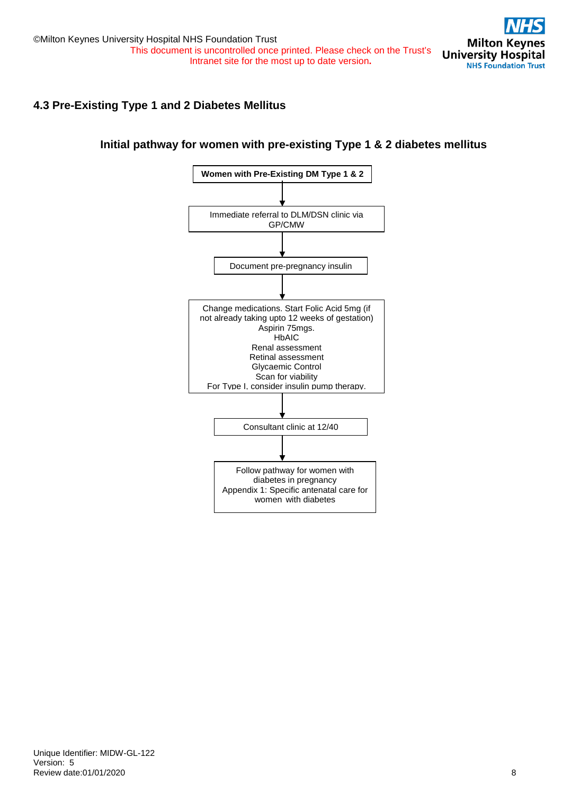

## <span id="page-7-0"></span>**4.3 Pre-Existing Type 1 and 2 Diabetes Mellitus**

#### **Initial pathway for women with pre-existing Type 1 & 2 diabetes mellitus**

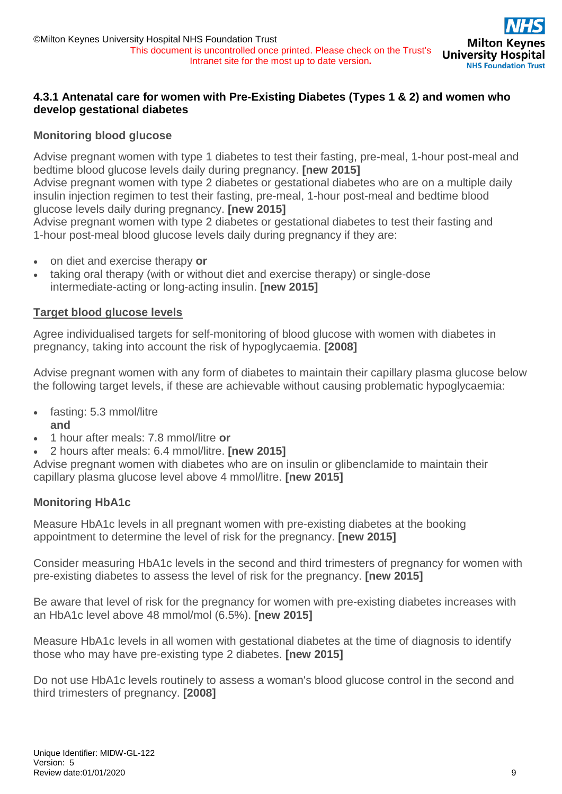

#### <span id="page-8-0"></span>**4.3.1 Antenatal care for women with Pre-Existing Diabetes (Types 1 & 2) and women who develop gestational diabetes**

### **Monitoring blood glucose**

Advise pregnant women with type 1 diabetes to test their fasting, pre-meal, 1-hour post-meal and bedtime blood glucose levels daily during pregnancy. **[new 2015]**

Advise pregnant women with type 2 diabetes or gestational diabetes who are on a multiple daily insulin injection regimen to test their fasting, pre-meal, 1-hour post-meal and bedtime blood glucose levels daily during pregnancy. **[new 2015]**

Advise pregnant women with type 2 diabetes or gestational diabetes to test their fasting and 1-hour post-meal blood glucose levels daily during pregnancy if they are:

- on diet and exercise therapy **or**
- taking oral therapy (with or without diet and exercise therapy) or single-dose intermediate-acting or long-acting insulin. **[new 2015]**

#### **Target blood glucose levels**

Agree individualised targets for self-monitoring of blood glucose with women with diabetes in pregnancy, taking into account the risk of hypoglycaemia. **[2008]**

Advise pregnant women with any form of diabetes to maintain their capillary plasma glucose below the following target levels, if these are achievable without causing problematic hypoglycaemia:

- fasting: 5.3 mmol/litre
- **and** • 1 hour after meals: 7.8 mmol/litre **or**
- 2 hours after meals: 6.4 mmol/litre. **[new 2015]**

Advise pregnant women with diabetes who are on insulin or glibenclamide to maintain their capillary plasma glucose level above 4 mmol/litre. **[new 2015]**

## **Monitoring HbA1c**

Measure HbA1c levels in all pregnant women with pre-existing diabetes at the booking appointment to determine the level of risk for the pregnancy. **[new 2015]**

Consider measuring HbA1c levels in the second and third trimesters of pregnancy for women with pre-existing diabetes to assess the level of risk for the pregnancy. **[new 2015]**

Be aware that level of risk for the pregnancy for women with pre-existing diabetes increases with an HbA1c level above 48 mmol/mol (6.5%). **[new 2015]**

Measure HbA1c levels in all women with gestational diabetes at the time of diagnosis to identify those who may have pre-existing type 2 diabetes. **[new 2015]**

Do not use HbA1c levels routinely to assess a woman's blood glucose control in the second and third trimesters of pregnancy. **[2008]**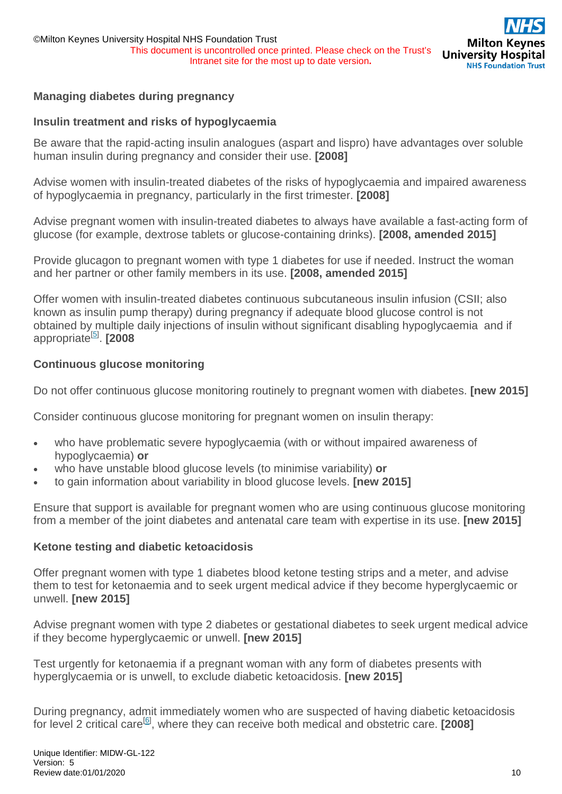

#### **Managing diabetes during pregnancy**

#### **Insulin treatment and risks of hypoglycaemia**

Be aware that the rapid-acting insulin analogues (aspart and lispro) have advantages over soluble human insulin during pregnancy and consider their use. **[2008]**

Advise women with insulin-treated diabetes of the risks of hypoglycaemia and impaired awareness of hypoglycaemia in pregnancy, particularly in the first trimester. **[2008]**

Advise pregnant women with insulin-treated diabetes to always have available a fast-acting form of glucose (for example, dextrose tablets or glucose-containing drinks). **[2008, amended 2015]**

Provide glucagon to pregnant women with type 1 diabetes for use if needed. Instruct the woman and her partner or other family members in its use. **[2008, amended 2015]**

Offer women with insulin-treated diabetes continuous subcutaneous insulin infusion (CSII; also known as insulin pump therapy) during pregnancy if adequate blood glucose control is not obtained by multiple daily injections of insulin without significant disabling hypoglycaemia and if appropriat[e\[5\]](https://www.nice.org.uk/guidance/ng3/chapter/1-Recommendations%23ftn.footnote_5) . **[2008**

#### **Continuous glucose monitoring**

Do not offer continuous glucose monitoring routinely to pregnant women with diabetes. **[new 2015]**

Consider continuous glucose monitoring for pregnant women on insulin therapy:

- who have problematic severe hypoglycaemia (with or without impaired awareness of hypoglycaemia) **or**
- who have unstable blood glucose levels (to minimise variability) **or**
- to gain information about variability in blood glucose levels. **[new 2015]**

Ensure that support is available for pregnant women who are using continuous glucose monitoring from a member of the joint diabetes and antenatal care team with expertise in its use. **[new 2015]**

#### **Ketone testing and diabetic ketoacidosis**

Offer pregnant women with type 1 diabetes blood ketone testing strips and a meter, and advise them to test for ketonaemia and to seek urgent medical advice if they become hyperglycaemic or unwell. **[new 2015]**

Advise pregnant women with type 2 diabetes or gestational diabetes to seek urgent medical advice if they become hyperglycaemic or unwell. **[new 2015]**

Test urgently for ketonaemia if a pregnant woman with any form of diabetes presents with hyperglycaemia or is unwell, to exclude diabetic ketoacidosis. **[new 2015]**

During pregnancy, admit immediately women who are suspected of having diabetic ketoacidosis for level 2 critical care[\[6\]](https://www.nice.org.uk/guidance/ng3/chapter/1-Recommendations%23ftn.footnote_6) , where they can receive both medical and obstetric care. **[2008]**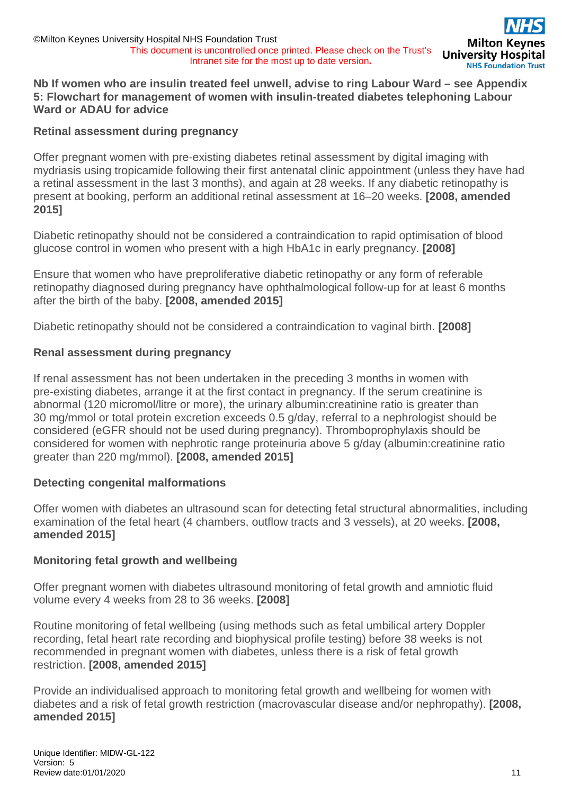**Nb If women who are insulin treated feel unwell, advise to ring Labour Ward – see Appendix 5: Flowchart for management of women with insulin-treated diabetes telephoning Labour Ward or ADAU for advice** 

#### **Retinal assessment during pregnancy**

Offer pregnant women with pre-existing diabetes retinal assessment by digital imaging with mydriasis using tropicamide following their first antenatal clinic appointment (unless they have had a retinal assessment in the last 3 months), and again at 28 weeks. If any diabetic retinopathy is present at booking, perform an additional retinal assessment at 16–20 weeks. **[2008, amended 2015]**

Diabetic retinopathy should not be considered a contraindication to rapid optimisation of blood glucose control in women who present with a high HbA1c in early pregnancy. **[2008]**

Ensure that women who have preproliferative diabetic retinopathy or any form of referable retinopathy diagnosed during pregnancy have ophthalmological follow-up for at least 6 months after the birth of the baby. **[2008, amended 2015]**

Diabetic retinopathy should not be considered a contraindication to vaginal birth. **[2008]**

### **Renal assessment during pregnancy**

If renal assessment has not been undertaken in the preceding 3 months in women with pre-existing diabetes, arrange it at the first contact in pregnancy. If the serum creatinine is abnormal (120 micromol/litre or more), the urinary albumin:creatinine ratio is greater than 30 mg/mmol or total protein excretion exceeds 0.5 g/day, referral to a nephrologist should be considered (eGFR should not be used during pregnancy). Thromboprophylaxis should be considered for women with nephrotic range proteinuria above 5 g/day (albumin:creatinine ratio greater than 220 mg/mmol). **[2008, amended 2015]**

## **Detecting congenital malformations**

Offer women with diabetes an ultrasound scan for detecting fetal structural abnormalities, including examination of the fetal heart (4 chambers, outflow tracts and 3 vessels), at 20 weeks. **[2008, amended 2015]**

#### **Monitoring fetal growth and wellbeing**

Offer pregnant women with diabetes ultrasound monitoring of fetal growth and amniotic fluid volume every 4 weeks from 28 to 36 weeks. **[2008]**

Routine monitoring of fetal wellbeing (using methods such as fetal umbilical artery Doppler recording, fetal heart rate recording and biophysical profile testing) before 38 weeks is not recommended in pregnant women with diabetes, unless there is a risk of fetal growth restriction. **[2008, amended 2015]**

Provide an individualised approach to monitoring fetal growth and wellbeing for women with diabetes and a risk of fetal growth restriction (macrovascular disease and/or nephropathy). **[2008, amended 2015]**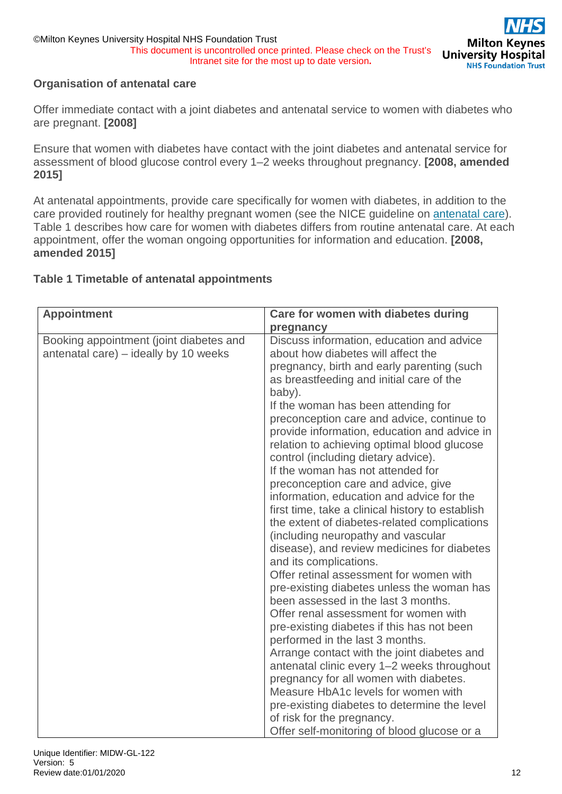#### **Organisation of antenatal care**

Offer immediate contact with a joint diabetes and antenatal service to women with diabetes who are pregnant. **[2008]**

Ensure that women with diabetes have contact with the joint diabetes and antenatal service for assessment of blood glucose control every 1–2 weeks throughout pregnancy. **[2008, amended 2015]**

At antenatal appointments, provide care specifically for women with diabetes, in addition to the care provided routinely for healthy pregnant women (see the NICE guideline on [antenatal care\)](http://www.nice.org.uk/guidance/cg62). Table 1 describes how care for women with diabetes differs from routine antenatal care. At each appointment, offer the woman ongoing opportunities for information and education. **[2008, amended 2015]**

#### **Table 1 Timetable of antenatal appointments**

| <b>Appointment</b>                                                               | Care for women with diabetes during                                                                                                                                                                                                                                                                                                                                                                                                                                                                                                                                                                                                                                                                                                                                                                                                                                                                                                                                                                                                                                                                                             |
|----------------------------------------------------------------------------------|---------------------------------------------------------------------------------------------------------------------------------------------------------------------------------------------------------------------------------------------------------------------------------------------------------------------------------------------------------------------------------------------------------------------------------------------------------------------------------------------------------------------------------------------------------------------------------------------------------------------------------------------------------------------------------------------------------------------------------------------------------------------------------------------------------------------------------------------------------------------------------------------------------------------------------------------------------------------------------------------------------------------------------------------------------------------------------------------------------------------------------|
|                                                                                  |                                                                                                                                                                                                                                                                                                                                                                                                                                                                                                                                                                                                                                                                                                                                                                                                                                                                                                                                                                                                                                                                                                                                 |
| Booking appointment (joint diabetes and<br>antenatal care) - ideally by 10 weeks | pregnancy<br>Discuss information, education and advice<br>about how diabetes will affect the<br>pregnancy, birth and early parenting (such<br>as breastfeeding and initial care of the<br>baby).<br>If the woman has been attending for<br>preconception care and advice, continue to<br>provide information, education and advice in<br>relation to achieving optimal blood glucose<br>control (including dietary advice).<br>If the woman has not attended for<br>preconception care and advice, give<br>information, education and advice for the<br>first time, take a clinical history to establish<br>the extent of diabetes-related complications<br>(including neuropathy and vascular<br>disease), and review medicines for diabetes<br>and its complications.<br>Offer retinal assessment for women with<br>pre-existing diabetes unless the woman has<br>been assessed in the last 3 months.<br>Offer renal assessment for women with<br>pre-existing diabetes if this has not been<br>performed in the last 3 months.<br>Arrange contact with the joint diabetes and<br>antenatal clinic every 1-2 weeks throughout |
|                                                                                  | pregnancy for all women with diabetes.<br>Measure HbA1c levels for women with                                                                                                                                                                                                                                                                                                                                                                                                                                                                                                                                                                                                                                                                                                                                                                                                                                                                                                                                                                                                                                                   |
|                                                                                  | pre-existing diabetes to determine the level                                                                                                                                                                                                                                                                                                                                                                                                                                                                                                                                                                                                                                                                                                                                                                                                                                                                                                                                                                                                                                                                                    |
|                                                                                  | of risk for the pregnancy.<br>Offer self-monitoring of blood glucose or a                                                                                                                                                                                                                                                                                                                                                                                                                                                                                                                                                                                                                                                                                                                                                                                                                                                                                                                                                                                                                                                       |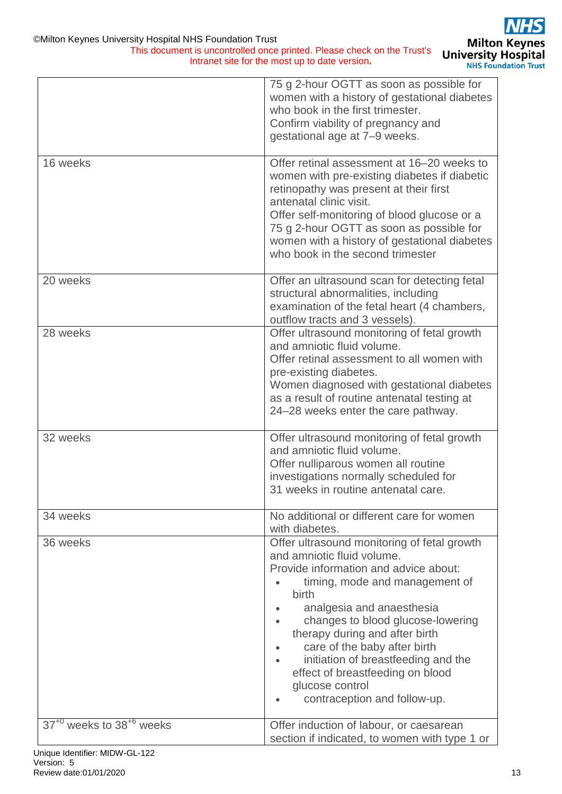

|                                    | 75 g 2-hour OGTT as soon as possible for<br>women with a history of gestational diabetes<br>who book in the first trimester.<br>Confirm viability of pregnancy and<br>gestational age at 7-9 weeks.                                                                                                                                                                                                                             |
|------------------------------------|---------------------------------------------------------------------------------------------------------------------------------------------------------------------------------------------------------------------------------------------------------------------------------------------------------------------------------------------------------------------------------------------------------------------------------|
| 16 weeks                           | Offer retinal assessment at 16-20 weeks to<br>women with pre-existing diabetes if diabetic<br>retinopathy was present at their first<br>antenatal clinic visit.<br>Offer self-monitoring of blood glucose or a<br>75 g 2-hour OGTT as soon as possible for<br>women with a history of gestational diabetes<br>who book in the second trimester                                                                                  |
| 20 weeks                           | Offer an ultrasound scan for detecting fetal<br>structural abnormalities, including<br>examination of the fetal heart (4 chambers,<br>outflow tracts and 3 vessels).                                                                                                                                                                                                                                                            |
| 28 weeks                           | Offer ultrasound monitoring of fetal growth<br>and amniotic fluid volume.<br>Offer retinal assessment to all women with<br>pre-existing diabetes.<br>Women diagnosed with gestational diabetes<br>as a result of routine antenatal testing at<br>24-28 weeks enter the care pathway.                                                                                                                                            |
| 32 weeks                           | Offer ultrasound monitoring of fetal growth<br>and amniotic fluid volume.<br>Offer nulliparous women all routine<br>investigations normally scheduled for<br>31 weeks in routine antenatal care.                                                                                                                                                                                                                                |
| 34 weeks                           | No additional or different care for women<br>with diabetes.                                                                                                                                                                                                                                                                                                                                                                     |
| 36 weeks                           | Offer ultrasound monitoring of fetal growth<br>and amniotic fluid volume.<br>Provide information and advice about:<br>timing, mode and management of<br>birth<br>analgesia and anaesthesia<br>changes to blood glucose-lowering<br>therapy during and after birth<br>care of the baby after birth<br>initiation of breastfeeding and the<br>effect of breastfeeding on blood<br>glucose control<br>contraception and follow-up. |
| $37^{+0}$ weeks to $38^{+6}$ weeks | Offer induction of labour, or caesarean<br>section if indicated, to women with type 1 or                                                                                                                                                                                                                                                                                                                                        |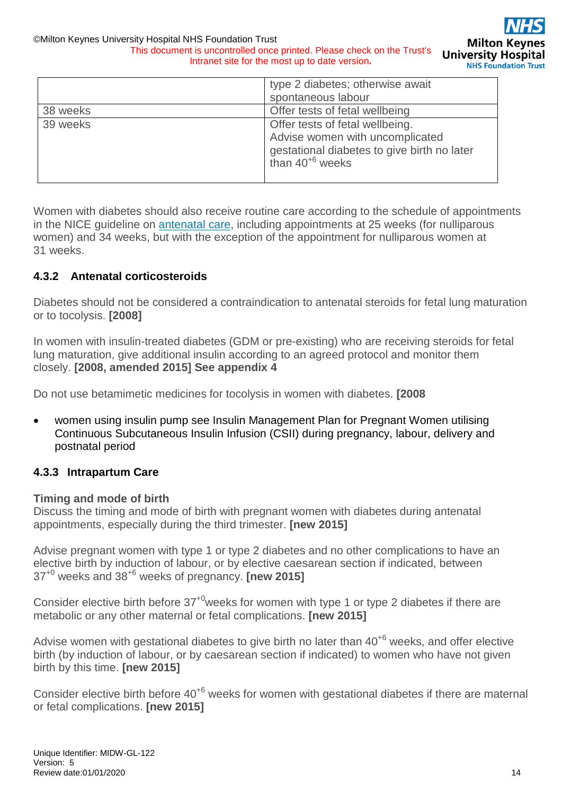

|          | type 2 diabetes; otherwise await<br>spontaneous labour                                                                                    |
|----------|-------------------------------------------------------------------------------------------------------------------------------------------|
| 38 weeks | Offer tests of fetal wellbeing                                                                                                            |
| 39 weeks | Offer tests of fetal wellbeing.<br>Advise women with uncomplicated<br>gestational diabetes to give birth no later<br>than $40^{+6}$ weeks |

Women with diabetes should also receive routine care according to the schedule of appointments in the NICE guideline on [antenatal care,](http://www.nice.org.uk/guidance/cg62) including appointments at 25 weeks (for nulliparous women) and 34 weeks, but with the exception of the appointment for nulliparous women at 31 weeks.

### <span id="page-13-0"></span>**4.3.2 Antenatal corticosteroids**

Diabetes should not be considered a contraindication to antenatal steroids for fetal lung maturation or to tocolysis. **[2008]**

In women with insulin-treated diabetes (GDM or pre-existing) who are receiving steroids for fetal lung maturation, give additional insulin according to an agreed protocol and monitor them closely. **[2008, amended 2015] See appendix 4** 

Do not use betamimetic medicines for tocolysis in women with diabetes. **[2008**

• women using insulin pump see Insulin Management Plan for Pregnant Women utilising Continuous Subcutaneous Insulin Infusion (CSII) during pregnancy, labour, delivery and postnatal period

#### <span id="page-13-1"></span>**4.3.3 Intrapartum Care**

#### **Timing and mode of birth**

Discuss the timing and mode of birth with pregnant women with diabetes during antenatal appointments, especially during the third trimester. **[new 2015]**

Advise pregnant women with type 1 or type 2 diabetes and no other complications to have an elective birth by induction of labour, or by elective caesarean section if indicated, between 37+0 weeks and 38+6 weeks of pregnancy. **[new 2015]**

Consider elective birth before  $37^{+0}$  weeks for women with type 1 or type 2 diabetes if there are metabolic or any other maternal or fetal complications. **[new 2015]**

Advise women with gestational diabetes to give birth no later than  $40^{+6}$  weeks, and offer elective birth (by induction of labour, or by caesarean section if indicated) to women who have not given birth by this time. **[new 2015]**

Consider elective birth before 40<sup>+6</sup> weeks for women with gestational diabetes if there are maternal or fetal complications. **[new 2015]**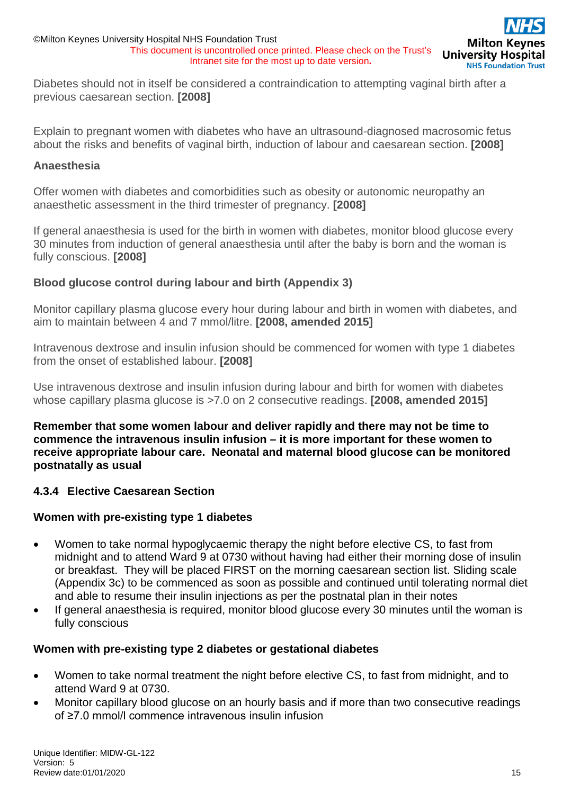©Milton Keynes University Hospital NHS Foundation Trust This document is uncontrolled once printed. Please check on the Trust's Intranet site for the most up to date version**.**



Diabetes should not in itself be considered a contraindication to attempting vaginal birth after a previous caesarean section. **[2008]**

Explain to pregnant women with diabetes who have an ultrasound-diagnosed macrosomic fetus about the risks and benefits of vaginal birth, induction of labour and caesarean section. **[2008]**

#### **Anaesthesia**

Offer women with diabetes and comorbidities such as obesity or autonomic neuropathy an anaesthetic assessment in the third trimester of pregnancy. **[2008]**

If general anaesthesia is used for the birth in women with diabetes, monitor blood glucose every 30 minutes from induction of general anaesthesia until after the baby is born and the woman is fully conscious. **[2008]**

#### **Blood glucose control during labour and birth (Appendix 3)**

Monitor capillary plasma glucose every hour during labour and birth in women with diabetes, and aim to maintain between 4 and 7 mmol/litre. **[2008, amended 2015]**

Intravenous dextrose and insulin infusion should be commenced for women with type 1 diabetes from the onset of established labour. **[2008]**

Use intravenous dextrose and insulin infusion during labour and birth for women with diabetes whose capillary plasma glucose is >7.0 on 2 consecutive readings. **[2008, amended 2015]**

**Remember that some women labour and deliver rapidly and there may not be time to commence the intravenous insulin infusion – it is more important for these women to receive appropriate labour care. Neonatal and maternal blood glucose can be monitored postnatally as usual**

#### <span id="page-14-0"></span>**4.3.4 Elective Caesarean Section**

#### **Women with pre-existing type 1 diabetes**

- Women to take normal hypoglycaemic therapy the night before elective CS, to fast from midnight and to attend Ward 9 at 0730 without having had either their morning dose of insulin or breakfast. They will be placed FIRST on the morning caesarean section list. Sliding scale (Appendix 3c) to be commenced as soon as possible and continued until tolerating normal diet and able to resume their insulin injections as per the postnatal plan in their notes
- If general anaesthesia is required, monitor blood glucose every 30 minutes until the woman is fully conscious

#### **Women with pre-existing type 2 diabetes or gestational diabetes**

- Women to take normal treatment the night before elective CS, to fast from midnight, and to attend Ward 9 at 0730.
- Monitor capillary blood glucose on an hourly basis and if more than two consecutive readings of ≥7.0 mmol/l commence intravenous insulin infusion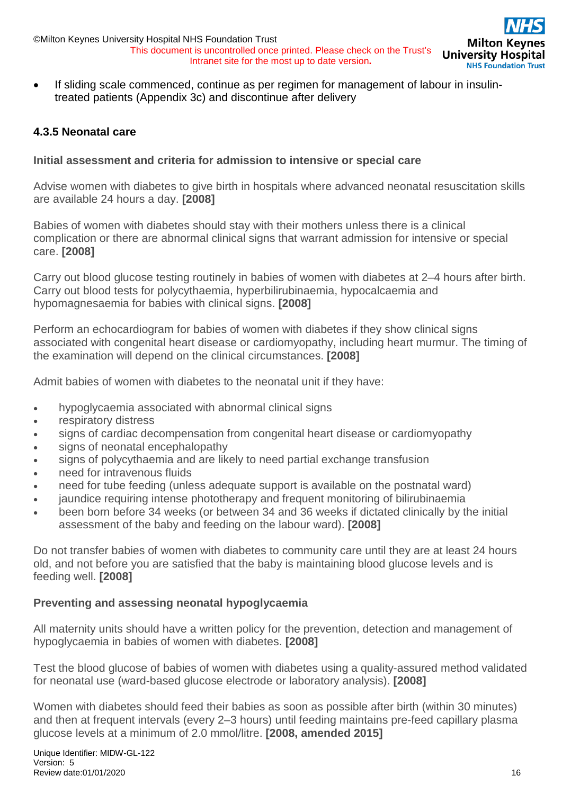©Milton Keynes University Hospital NHS Foundation Trust This document is uncontrolled once printed. Please check on the Trust's Intranet site for the most up to date version**.**



• If sliding scale commenced, continue as per regimen for management of labour in insulintreated patients (Appendix 3c) and discontinue after delivery

#### <span id="page-15-0"></span>**4.3.5 Neonatal care**

#### **Initial assessment and criteria for admission to intensive or special care**

Advise women with diabetes to give birth in hospitals where advanced neonatal resuscitation skills are available 24 hours a day. **[2008]**

Babies of women with diabetes should stay with their mothers unless there is a clinical complication or there are abnormal clinical signs that warrant admission for intensive or special care. **[2008]**

Carry out blood glucose testing routinely in babies of women with diabetes at 2–4 hours after birth. Carry out blood tests for polycythaemia, hyperbilirubinaemia, hypocalcaemia and hypomagnesaemia for babies with clinical signs. **[2008]**

Perform an echocardiogram for babies of women with diabetes if they show clinical signs associated with congenital heart disease or cardiomyopathy, including heart murmur. The timing of the examination will depend on the clinical circumstances. **[2008]**

Admit babies of women with diabetes to the neonatal unit if they have:

- hypoglycaemia associated with abnormal clinical signs
- respiratory distress
- signs of cardiac decompensation from congenital heart disease or cardiomyopathy
- signs of neonatal encephalopathy
- signs of polycythaemia and are likely to need partial exchange transfusion
- need for intravenous fluids
- need for tube feeding (unless adequate support is available on the postnatal ward)
- jaundice requiring intense phototherapy and frequent monitoring of bilirubinaemia
- been born before 34 weeks (or between 34 and 36 weeks if dictated clinically by the initial assessment of the baby and feeding on the labour ward). **[2008]**

Do not transfer babies of women with diabetes to community care until they are at least 24 hours old, and not before you are satisfied that the baby is maintaining blood glucose levels and is feeding well. **[2008]**

#### **Preventing and assessing neonatal hypoglycaemia**

All maternity units should have a written policy for the prevention, detection and management of hypoglycaemia in babies of women with diabetes. **[2008]**

Test the blood glucose of babies of women with diabetes using a quality-assured method validated for neonatal use (ward-based glucose electrode or laboratory analysis). **[2008]**

Women with diabetes should feed their babies as soon as possible after birth (within 30 minutes) and then at frequent intervals (every 2–3 hours) until feeding maintains pre-feed capillary plasma glucose levels at a minimum of 2.0 mmol/litre. **[2008, amended 2015]**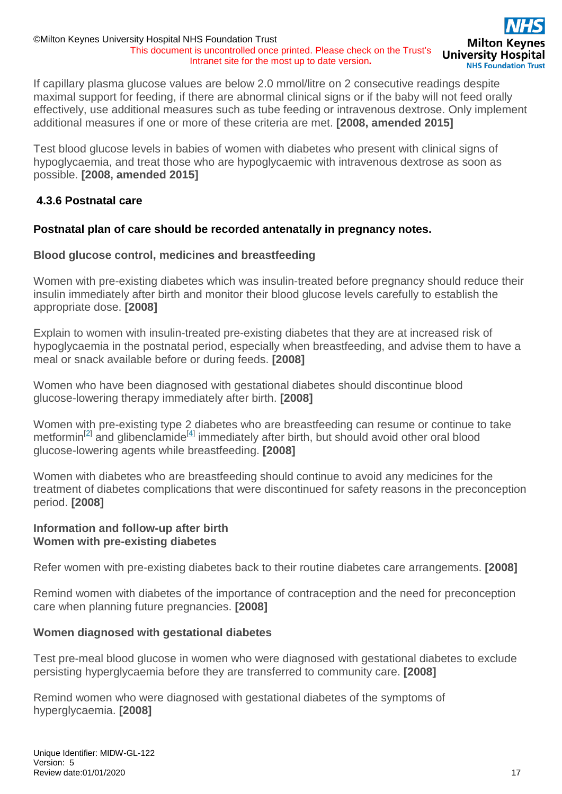©Milton Keynes University Hospital NHS Foundation Trust This document is uncontrolled once printed. Please check on the Trust's **University Hospital** Intranet site for the most up to date version**. NHS Foundation Trust** 

If capillary plasma glucose values are below 2.0 mmol/litre on 2 consecutive readings despite maximal support for feeding, if there are abnormal clinical signs or if the baby will not feed orally effectively, use additional measures such as tube feeding or intravenous dextrose. Only implement additional measures if one or more of these criteria are met. **[2008, amended 2015]**

Test blood glucose levels in babies of women with diabetes who present with clinical signs of hypoglycaemia, and treat those who are hypoglycaemic with intravenous dextrose as soon as possible. **[2008, amended 2015]**

#### <span id="page-16-0"></span>**4.3.6 Postnatal care**

#### **Postnatal plan of care should be recorded antenatally in pregnancy notes.**

#### **Blood glucose control, medicines and breastfeeding**

Women with pre-existing diabetes which was insulin-treated before pregnancy should reduce their insulin immediately after birth and monitor their blood glucose levels carefully to establish the appropriate dose. **[2008]**

Explain to women with insulin-treated pre-existing diabetes that they are at increased risk of hypoglycaemia in the postnatal period, especially when breastfeeding, and advise them to have a meal or snack available before or during feeds. **[2008]** 

Women who have been diagnosed with gestational diabetes should discontinue blood glucose-lowering therapy immediately after birth. **[2008]**

Women with pre-existing type 2 diabetes who are breastfeeding can resume or continue to take metformin<sup>[\[2\]](https://www.nice.org.uk/guidance/ng3/chapter/1-Recommendations%23ftn.footnote_2)</sup> and glibenclamide<sup>[\[4\]](https://www.nice.org.uk/guidance/ng3/chapter/1-Recommendations%23ftn.footnote_4)</sup> immediately after birth, but should avoid other oral blood glucose-lowering agents while breastfeeding. **[2008]**

Women with diabetes who are breastfeeding should continue to avoid any medicines for the treatment of diabetes complications that were discontinued for safety reasons in the preconception period. **[2008]**

#### **Information and follow-up after birth Women with pre-existing diabetes**

Refer women with pre-existing diabetes back to their routine diabetes care arrangements. **[2008]**

Remind women with diabetes of the importance of contraception and the need for preconception care when planning future pregnancies. **[2008]**

#### **Women diagnosed with gestational diabetes**

Test pre-meal blood glucose in women who were diagnosed with gestational diabetes to exclude persisting hyperglycaemia before they are transferred to community care. **[2008]**

Remind women who were diagnosed with gestational diabetes of the symptoms of hyperglycaemia. **[2008]**

**Milton Ke**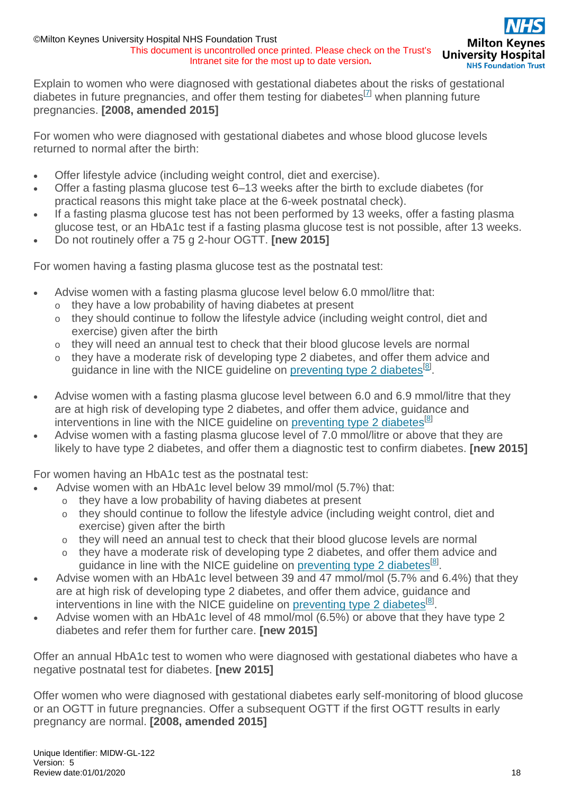

Explain to women who were diagnosed with gestational diabetes about the risks of gestational diabetes in future pregnancies, and offer them testing for diabetes<sup>[7]</sup> when planning future pregnancies. **[2008, amended 2015]**

For women who were diagnosed with gestational diabetes and whose blood glucose levels returned to normal after the birth:

- Offer lifestyle advice (including weight control, diet and exercise).
- Offer a fasting plasma glucose test 6–13 weeks after the birth to exclude diabetes (for practical reasons this might take place at the 6-week postnatal check).
- If a fasting plasma glucose test has not been performed by 13 weeks, offer a fasting plasma glucose test, or an HbA1c test if a fasting plasma glucose test is not possible, after 13 weeks.
- Do not routinely offer a 75 g 2-hour OGTT. **[new 2015]**

For women having a fasting plasma glucose test as the postnatal test:

- Advise women with a fasting plasma glucose level below 6.0 mmol/litre that:
	- o they have a low probability of having diabetes at present
	- o they should continue to follow the lifestyle advice (including weight control, diet and exercise) given after the birth
	- o they will need an annual test to check that their blood glucose levels are normal
	- o they have a moderate risk of developing type 2 diabetes, and offer them advice and guidance in line with the NICE guideline on [preventing type 2 diabetes](http://www.nice.org.uk/guidance/ph38/chapter/1-recommendations)<sup>[\[8\]](https://www.nice.org.uk/guidance/ng3/chapter/1-Recommendations%23ftn.footnote_8)</sup>.
- Advise women with a fasting plasma glucose level between 6.0 and 6.9 mmol/litre that they are at high risk of developing type 2 diabetes, and offer them advice, guidance and interventions in line with the NICE quideline on preventing type 2 diabetes  $8$
- Advise women with a fasting plasma glucose level of 7.0 mmol/litre or above that they are likely to have type 2 diabetes, and offer them a diagnostic test to confirm diabetes. **[new 2015]**

For women having an HbA1c test as the postnatal test:

- Advise women with an HbA1c level below 39 mmol/mol (5.7%) that:
	- o they have a low probability of having diabetes at present
	- o they should continue to follow the lifestyle advice (including weight control, diet and exercise) given after the birth
	- o they will need an annual test to check that their blood glucose levels are normal
	- o they have a moderate risk of developing type 2 diabetes, and offer them advice and guidance in line with the NICE guideline on [preventing type 2 diabetes](http://www.nice.org.uk/guidance/ph38/chapter/1-recommendations)<sup>[\[8\]](https://www.nice.org.uk/guidance/ng3/chapter/1-Recommendations%23ftn.footnote_8)</sup>.
- Advise women with an HbA1c level between 39 and 47 mmol/mol (5.7% and 6.4%) that they are at high risk of developing type 2 diabetes, and offer them advice, guidance and interventions in line with the NICE guideline on [preventing type 2 diabetes](http://www.nice.org.uk/guidance/ph38/chapter/1-recommendations)<sup>[\[8\]](https://www.nice.org.uk/guidance/ng3/chapter/1-Recommendations%23ftn.footnote_8)</sup>.
- Advise women with an HbA1c level of 48 mmol/mol (6.5%) or above that they have type 2 diabetes and refer them for further care. **[new 2015]**

Offer an annual HbA1c test to women who were diagnosed with gestational diabetes who have a negative postnatal test for diabetes. **[new 2015]**

Offer women who were diagnosed with gestational diabetes early self-monitoring of blood glucose or an OGTT in future pregnancies. Offer a subsequent OGTT if the first OGTT results in early pregnancy are normal. **[2008, amended 2015]**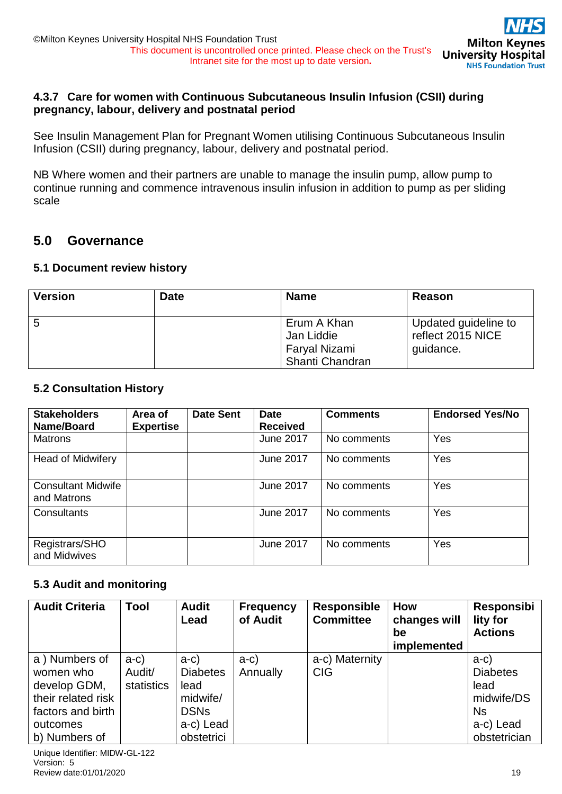

#### <span id="page-18-0"></span>**4.3.7 Care for women with Continuous Subcutaneous Insulin Infusion (CSII) during pregnancy, labour, delivery and postnatal period**

See Insulin Management Plan for Pregnant Women utilising Continuous Subcutaneous Insulin Infusion (CSII) during pregnancy, labour, delivery and postnatal period.

NB Where women and their partners are unable to manage the insulin pump, allow pump to continue running and commence intravenous insulin infusion in addition to pump as per sliding scale

## <span id="page-18-1"></span>**5.0 Governance**

#### <span id="page-18-2"></span>**5.1 Document review history**

| <b>Version</b> | <b>Date</b> | <b>Name</b>                                                   | <b>Reason</b>                                          |
|----------------|-------------|---------------------------------------------------------------|--------------------------------------------------------|
| 5              |             | Erum A Khan<br>Jan Liddie<br>Faryal Nizami<br>Shanti Chandran | Updated guideline to<br>reflect 2015 NICE<br>guidance. |

#### <span id="page-18-3"></span>**5.2 Consultation History**

| <b>Stakeholders</b><br>Name/Board        | Area of<br><b>Expertise</b> | <b>Date Sent</b> | <b>Date</b><br><b>Received</b> | <b>Comments</b> | <b>Endorsed Yes/No</b> |
|------------------------------------------|-----------------------------|------------------|--------------------------------|-----------------|------------------------|
| <b>Matrons</b>                           |                             |                  | June 2017                      | No comments     | Yes                    |
| <b>Head of Midwifery</b>                 |                             |                  | <b>June 2017</b>               | No comments     | Yes                    |
| <b>Consultant Midwife</b><br>and Matrons |                             |                  | <b>June 2017</b>               | No comments     | Yes                    |
| Consultants                              |                             |                  | June 2017                      | No comments     | Yes                    |
| Registrars/SHO<br>and Midwives           |                             |                  | <b>June 2017</b>               | No comments     | Yes                    |

#### <span id="page-18-4"></span>**5.3 Audit and monitoring**

| <b>Audit Criteria</b> | Tool       | <b>Audit</b><br>Lead | <b>Frequency</b><br>of Audit | <b>Responsible</b><br><b>Committee</b> | <b>How</b><br>changes will<br>be<br>implemented | <b>Responsibi</b><br>lity for<br><b>Actions</b> |
|-----------------------|------------|----------------------|------------------------------|----------------------------------------|-------------------------------------------------|-------------------------------------------------|
| a) Numbers of         | $a-c$      | $a-c$ )              | $a-c$ )                      | a-c) Maternity                         |                                                 | $a-c$                                           |
| women who             | Audit/     | <b>Diabetes</b>      | Annually                     | <b>CIG</b>                             |                                                 | <b>Diabetes</b>                                 |
| develop GDM,          | statistics | lead                 |                              |                                        |                                                 | lead                                            |
| their related risk    |            | midwife/             |                              |                                        |                                                 | midwife/DS                                      |
| factors and birth     |            | <b>DSNs</b>          |                              |                                        |                                                 | <b>Ns</b>                                       |
| outcomes              |            | a-c) Lead            |                              |                                        |                                                 | a-c) Lead                                       |
| b) Numbers of         |            | obstetrici           |                              |                                        |                                                 | obstetrician                                    |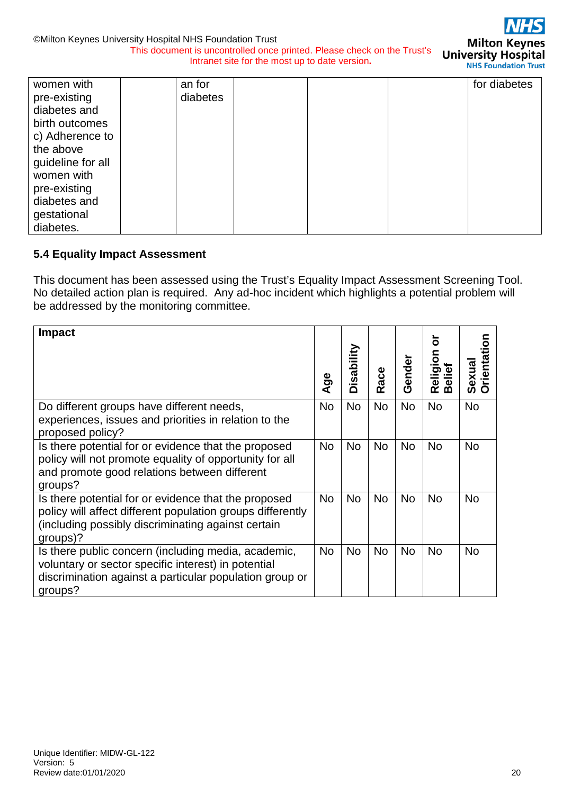

| women with        | an for   |  | for diabetes |
|-------------------|----------|--|--------------|
| pre-existing      | diabetes |  |              |
| diabetes and      |          |  |              |
| birth outcomes    |          |  |              |
| c) Adherence to   |          |  |              |
| the above         |          |  |              |
| guideline for all |          |  |              |
| women with        |          |  |              |
| pre-existing      |          |  |              |
| diabetes and      |          |  |              |
| gestational       |          |  |              |
| diabetes.         |          |  |              |

#### <span id="page-19-0"></span>**5.4 Equality Impact Assessment**

This document has been assessed using the Trust's Equality Impact Assessment Screening Tool. No detailed action plan is required. Any ad-hoc incident which highlights a potential problem will be addressed by the monitoring committee.

| <b>Impact</b>                                                                                                                                                                        | ္တ        | Disability | Race      | Gender    | ៦<br>Religion<br>Belief | rientation<br>Sexual<br>$\circ$ |
|--------------------------------------------------------------------------------------------------------------------------------------------------------------------------------------|-----------|------------|-----------|-----------|-------------------------|---------------------------------|
| Do different groups have different needs,<br>experiences, issues and priorities in relation to the<br>proposed policy?                                                               | <b>No</b> | <b>No</b>  | <b>No</b> | <b>No</b> | <b>No</b>               | <b>No</b>                       |
| Is there potential for or evidence that the proposed<br>policy will not promote equality of opportunity for all<br>and promote good relations between different<br>groups?           | <b>No</b> | <b>No</b>  | <b>No</b> | <b>No</b> | <b>No</b>               | <b>No</b>                       |
| Is there potential for or evidence that the proposed<br>policy will affect different population groups differently<br>(including possibly discriminating against certain<br>groups)? | No.       | <b>No</b>  | <b>No</b> | <b>No</b> | <b>No</b>               | <b>No</b>                       |
| Is there public concern (including media, academic,<br>voluntary or sector specific interest) in potential<br>discrimination against a particular population group or<br>groups?     | <b>No</b> | <b>No</b>  | No        | <b>No</b> | <b>No</b>               | <b>No</b>                       |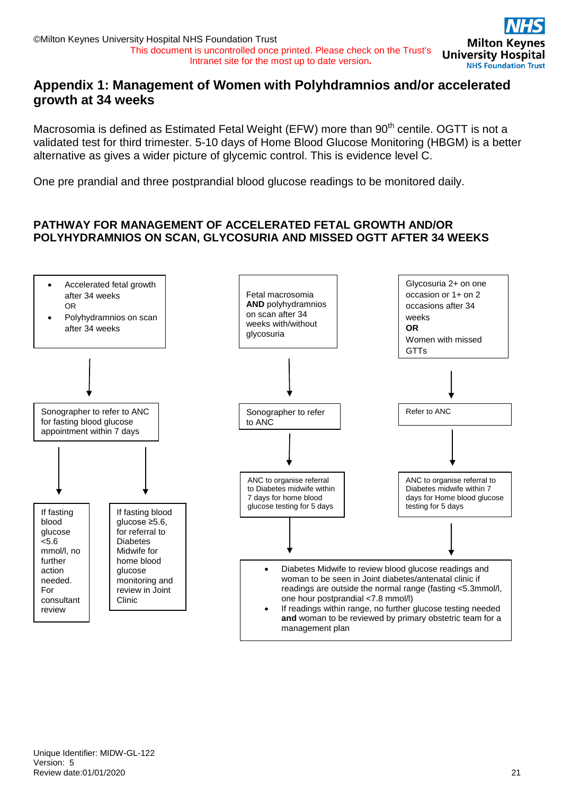

## <span id="page-20-0"></span>**Appendix 1: Management of Women with Polyhdramnios and/or accelerated growth at 34 weeks**

Macrosomia is defined as Estimated Fetal Weight (EFW) more than 90<sup>th</sup> centile. OGTT is not a validated test for third trimester. 5-10 days of Home Blood Glucose Monitoring (HBGM) is a better alternative as gives a wider picture of glycemic control. This is evidence level C.

One pre prandial and three postprandial blood glucose readings to be monitored daily.

#### **PATHWAY FOR MANAGEMENT OF ACCELERATED FETAL GROWTH AND/OR POLYHYDRAMNIOS ON SCAN, GLYCOSURIA AND MISSED OGTT AFTER 34 WEEKS**

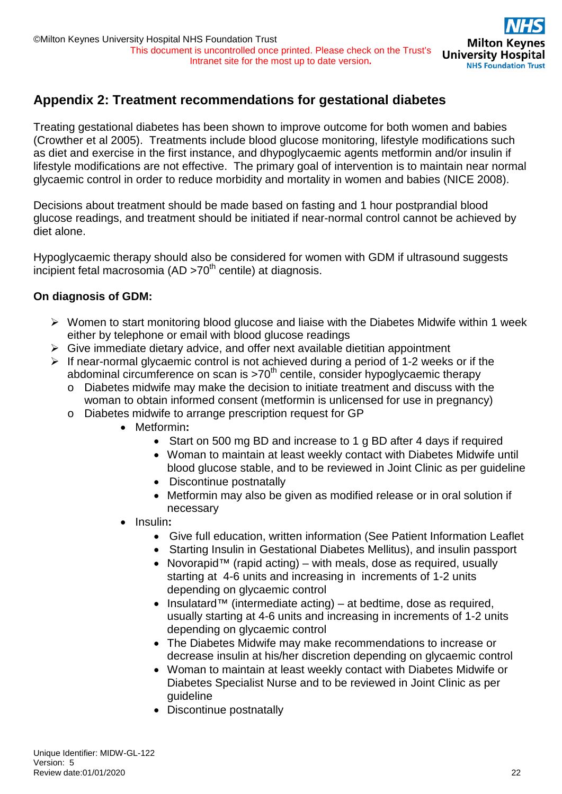

# <span id="page-21-0"></span>**Appendix 2: Treatment recommendations for gestational diabetes**

Treating gestational diabetes has been shown to improve outcome for both women and babies (Crowther et al 2005). Treatments include blood glucose monitoring, lifestyle modifications such as diet and exercise in the first instance, and dhypoglycaemic agents metformin and/or insulin if lifestyle modifications are not effective. The primary goal of intervention is to maintain near normal glycaemic control in order to reduce morbidity and mortality in women and babies (NICE 2008).

Decisions about treatment should be made based on fasting and 1 hour postprandial blood glucose readings, and treatment should be initiated if near-normal control cannot be achieved by diet alone.

Hypoglycaemic therapy should also be considered for women with GDM if ultrasound suggests incipient fetal macrosomia (AD  $>70^{th}$  centile) at diagnosis.

#### **On diagnosis of GDM:**

- Women to start monitoring blood glucose and liaise with the Diabetes Midwife within 1 week either by telephone or email with blood glucose readings
- $\triangleright$  Give immediate dietary advice, and offer next available dietitian appointment
- $\triangleright$  If near-normal glycaemic control is not achieved during a period of 1-2 weeks or if the abdominal circumference on scan is  $>70^{th}$  centile, consider hypoglycaemic therapy
	- o Diabetes midwife may make the decision to initiate treatment and discuss with the woman to obtain informed consent (metformin is unlicensed for use in pregnancy)
	- o Diabetes midwife to arrange prescription request for GP
		- Metformin**:**
			- Start on 500 mg BD and increase to 1 g BD after 4 days if required
			- Woman to maintain at least weekly contact with Diabetes Midwife until blood glucose stable, and to be reviewed in Joint Clinic as per guideline
			- Discontinue postnatally
			- Metformin may also be given as modified release or in oral solution if necessary
		- Insulin**:**
			- Give full education, written information (See Patient Information Leaflet
			- Starting Insulin in Gestational Diabetes Mellitus), and insulin passport
			- Novorapid™ (rapid acting) with meals, dose as required, usually starting at 4-6 units and increasing in increments of 1-2 units depending on glycaemic control
			- Insulatard™ (intermediate acting) at bedtime, dose as required, usually starting at 4-6 units and increasing in increments of 1-2 units depending on glycaemic control
			- The Diabetes Midwife may make recommendations to increase or decrease insulin at his/her discretion depending on glycaemic control
			- Woman to maintain at least weekly contact with Diabetes Midwife or Diabetes Specialist Nurse and to be reviewed in Joint Clinic as per guideline
			- Discontinue postnatally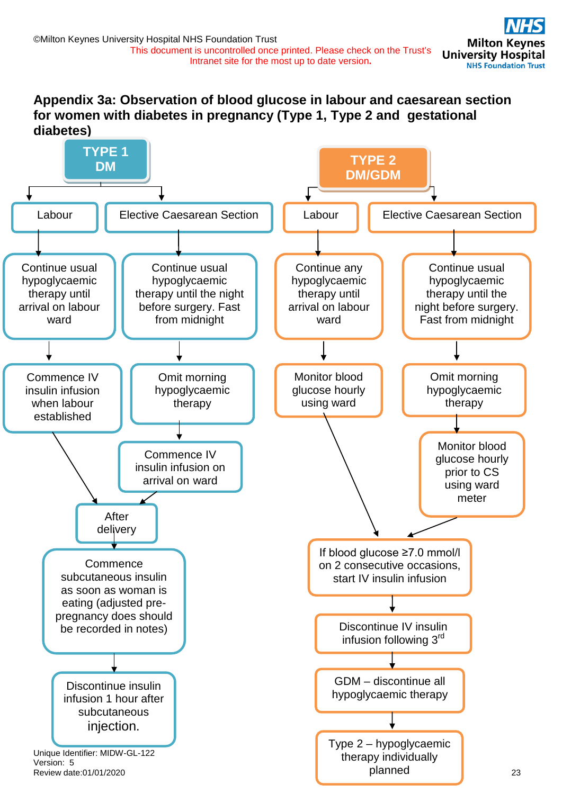# <span id="page-22-0"></span>**Appendix 3a: Observation of blood glucose in labour and caesarean section for women with diabetes in pregnancy (Type 1, Type 2 and gestational diabetes)**

<span id="page-22-1"></span>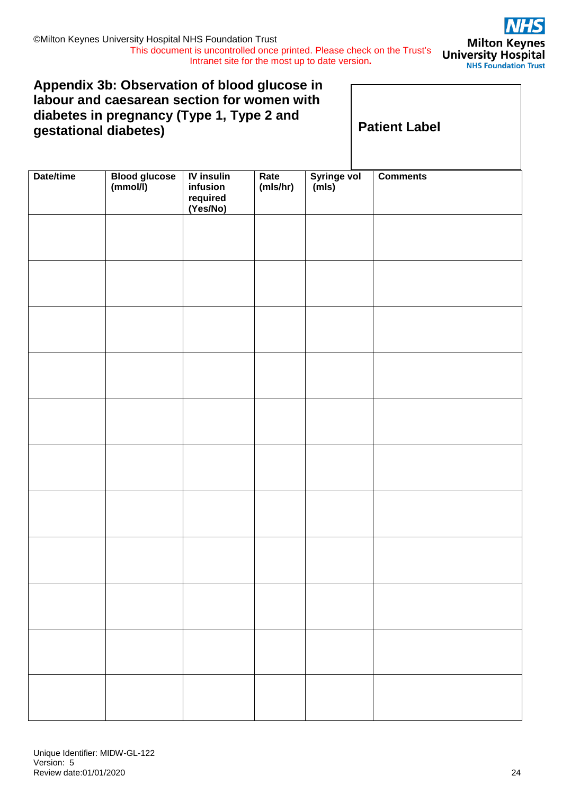**Appendix 3b: Observation of blood glucose in** 



# **labour and caesarean section for women with diabetes in pregnancy (Type 1, Type 2 and gestational diabetes) Date/time Blood glucose (mmol/l) IV insulin infusion required (Yes/No) Rate (mls/hr) Syringe vol (mls) Comments Patient Label**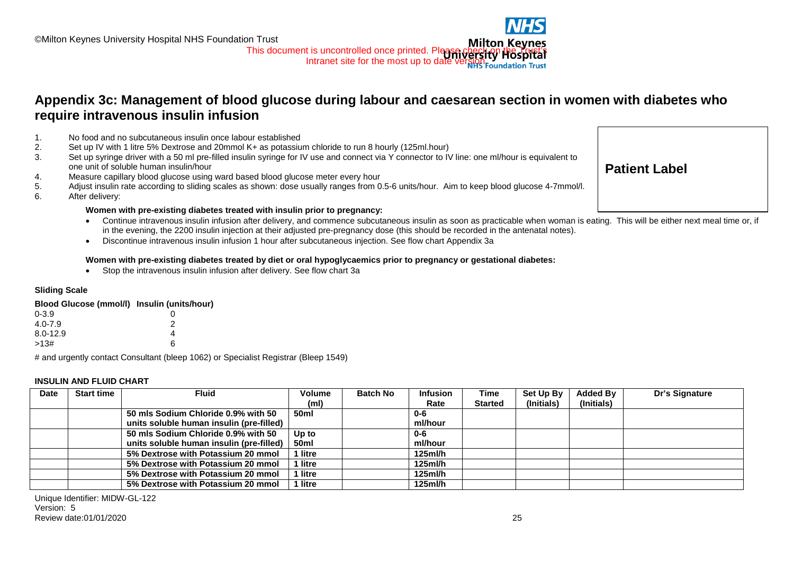

# **Appendix 3c: Management of blood glucose during labour and caesarean section in women with diabetes who require intravenous insulin infusion**

|  |  |  |  | No food and no subcutaneous insulin once labour established |  |
|--|--|--|--|-------------------------------------------------------------|--|
|--|--|--|--|-------------------------------------------------------------|--|

- 2. Set up IV with 1 litre 5% Dextrose and 20mmol K+ as potassium chloride to run 8 hourly (125ml.hour)<br>3. Set up syringe driver with a 50 ml pre-filled insulin syringe for IV use and connect via Y connector to IN
- Set up syringe driver with a 50 ml pre-filled insulin syringe for IV use and connect via Y connector to IV line: one ml/hour is equivalent to one unit of soluble human insulin/hour
- 4. Measure capillary blood glucose using ward based blood glucose meter every hour
- 5. Adjust insulin rate according to sliding scales as shown: dose usually ranges from 0.5-6 units/hour. Aim to keep blood glucose 4-7mmol/l.
- 6. After delivery:

#### **Women with pre-existing diabetes treated with insulin prior to pregnancy:**

- Continue intravenous insulin infusion after delivery, and commence subcutaneous insulin as soon as practicable when woman is eating. This will be either next meal time or, if in the evening, the 2200 insulin injection at their adjusted pre-pregnancy dose (this should be recorded in the antenatal notes).
- Discontinue intravenous insulin infusion 1 hour after subcutaneous injection. See flow chart Appendix 3a

#### **Women with pre-existing diabetes treated by diet or oral hypoglycaemics prior to pregnancy or gestational diabetes:**

• Stop the intravenous insulin infusion after delivery. See flow chart 3a

#### **Sliding Scale**

**Blood Glucose (mmol/l) Insulin (units/hour)**

<span id="page-24-0"></span>

| $0 - 3.9$    | 0 |  |
|--------------|---|--|
| $4.0 - 7.9$  | 2 |  |
| $8.0 - 12.9$ | 4 |  |
| >13#         | 6 |  |

# and urgently contact Consultant (bleep 1062) or Specialist Registrar (Bleep 1549)

#### **INSULIN AND FLUID CHART**

| Date | <b>Start time</b> | <b>Fluid</b>                             | Volume           | <b>Batch No</b> | <b>Infusion</b> | Time           | Set Up By  | <b>Added By</b> | Dr's Signature |
|------|-------------------|------------------------------------------|------------------|-----------------|-----------------|----------------|------------|-----------------|----------------|
|      |                   |                                          | (ml)             |                 | Rate            | <b>Started</b> | (Initials) | (Initials)      |                |
|      |                   | 50 mls Sodium Chloride 0.9% with 50      | 50 <sub>ml</sub> |                 | 0-6             |                |            |                 |                |
|      |                   | units soluble human insulin (pre-filled) |                  |                 | ml/hour         |                |            |                 |                |
|      |                   | 50 mls Sodium Chloride 0.9% with 50      | Up to            |                 | $0 - 6$         |                |            |                 |                |
|      |                   | units soluble human insulin (pre-filled) | 50 <sub>ml</sub> |                 | ml/hour         |                |            |                 |                |
|      |                   | 5% Dextrose with Potassium 20 mmol       | 1 litre          |                 | 125ml/h         |                |            |                 |                |
|      |                   | 5% Dextrose with Potassium 20 mmol       | 1 litre          |                 | 125ml/h         |                |            |                 |                |
|      |                   | 5% Dextrose with Potassium 20 mmol       | 1 litre          |                 | 125m/h          |                |            |                 |                |
|      |                   | 5% Dextrose with Potassium 20 mmol       | 1 litre          |                 | 125ml/h         |                |            |                 |                |

Unique Identifier: MIDW-GL-122 Version: 5 Review date:01/01/2020 25 **Patient Label**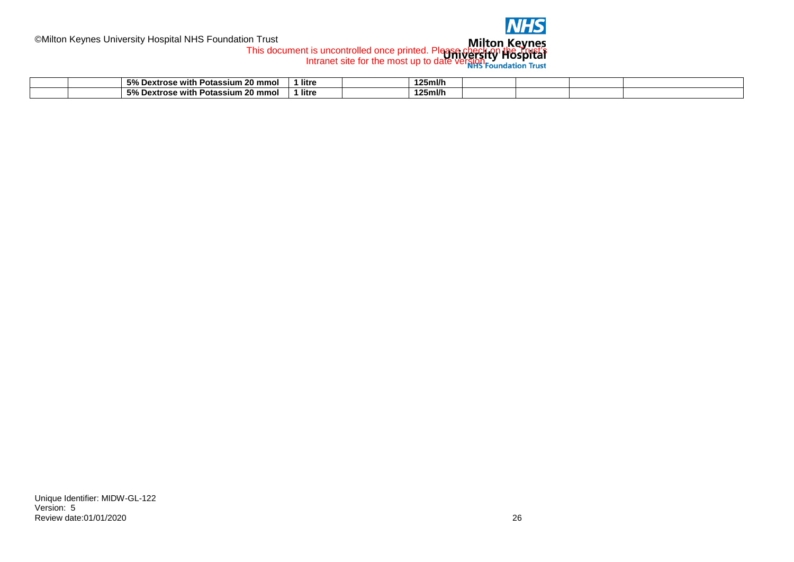

This document is uncontrolled once printed. Please check on the Trust's

Intranet site for the most up to date versi**on**.

|  | .5%<br>20 mmo<br>Potassium.<br>ose with l<br><b>Dextrose</b> w                       | litre | $\overline{A}$<br>25ml/h<br>. . |  |  |
|--|--------------------------------------------------------------------------------------|-------|---------------------------------|--|--|
|  | .5%<br>20 mmo<br>ำ°sium ∠.<br><sub>ົ</sub> `se with ∟<br>Potas.<br><b>Dextrose</b> w | litre | 125m/h                          |  |  |

Unique Identifier: MIDW-GL-122 Version: 5 Review date:01/01/2020 26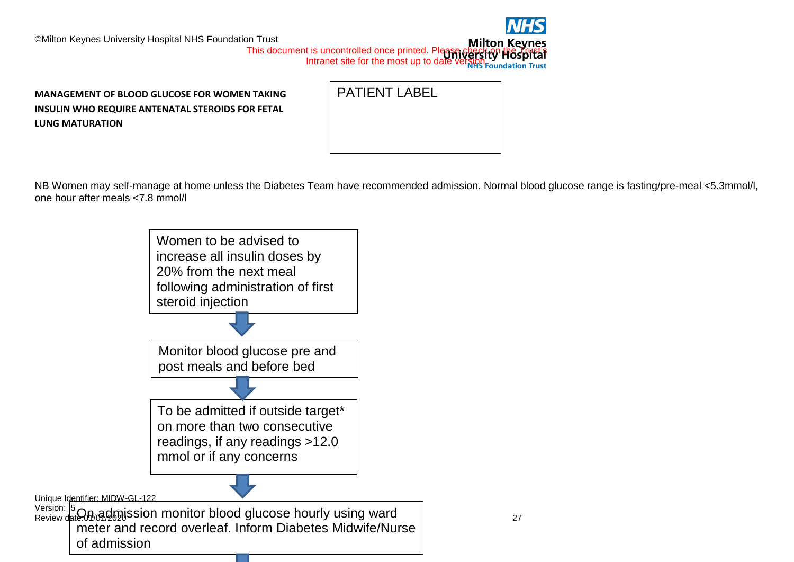

This document is uncontrolled once printed. Please check on the Trust's Intranet site for the most up to date versi**on**.

**MANAGEMENT OF BLOOD GLUCOSE FOR WOMEN TAKING INSULIN WHO REQUIRE ANTENATAL STEROIDS FOR FETAL LUNG MATURATION**

PATIENT LABEL

NB Women may self-manage at home unless the Diabetes Team have recommended admission. Normal blood glucose range is fasting/pre-meal <5.3mmol/l, one hour after meals <7.8 mmol/l

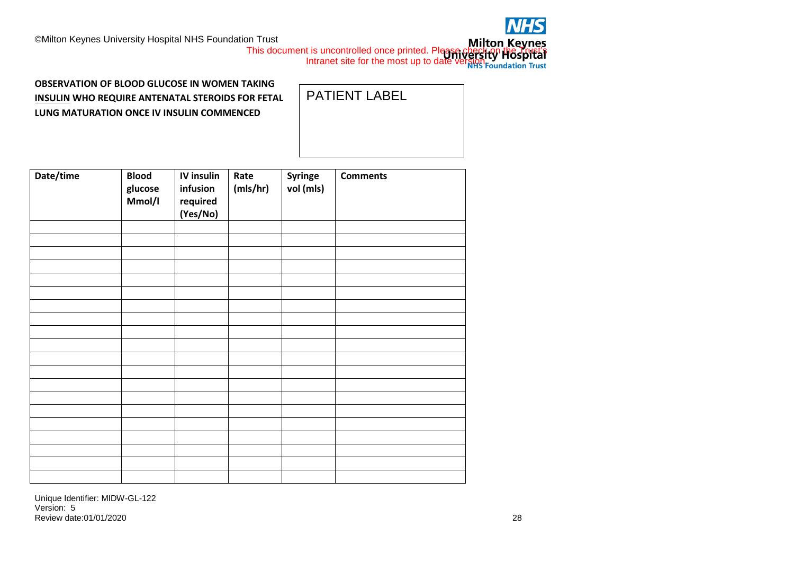

This document is uncontrolled once printed. Please check on the Trust's Intranet site for the most up to date versi**on**.

#### **OBSERVATION OF BLOOD GLUCOSE IN WOMEN TAKING INSULIN WHO REQUIRE ANTENATAL STEROIDS FOR FETAL LUNG MATURATION ONCE IV INSULIN COMMENCED**

PATIENT LABEL

| Date/time | <b>Blood</b><br>glucose<br>Mmol/l | IV insulin<br>infusion<br>required<br>(Yes/No) | Rate<br>(mls/hr) | Syringe<br>vol (mls) | <b>Comments</b> |
|-----------|-----------------------------------|------------------------------------------------|------------------|----------------------|-----------------|
|           |                                   |                                                |                  |                      |                 |
|           |                                   |                                                |                  |                      |                 |
|           |                                   |                                                |                  |                      |                 |
|           |                                   |                                                |                  |                      |                 |
|           |                                   |                                                |                  |                      |                 |
|           |                                   |                                                |                  |                      |                 |
|           |                                   |                                                |                  |                      |                 |
|           |                                   |                                                |                  |                      |                 |
|           |                                   |                                                |                  |                      |                 |
|           |                                   |                                                |                  |                      |                 |
|           |                                   |                                                |                  |                      |                 |
|           |                                   |                                                |                  |                      |                 |
|           |                                   |                                                |                  |                      |                 |
|           |                                   |                                                |                  |                      |                 |
|           |                                   |                                                |                  |                      |                 |
|           |                                   |                                                |                  |                      |                 |
|           |                                   |                                                |                  |                      |                 |
|           |                                   |                                                |                  |                      |                 |
|           |                                   |                                                |                  |                      |                 |
|           |                                   |                                                |                  |                      |                 |

Unique Identifier: MIDW-GL-122 Version: 5 Review date:01/01/2020 28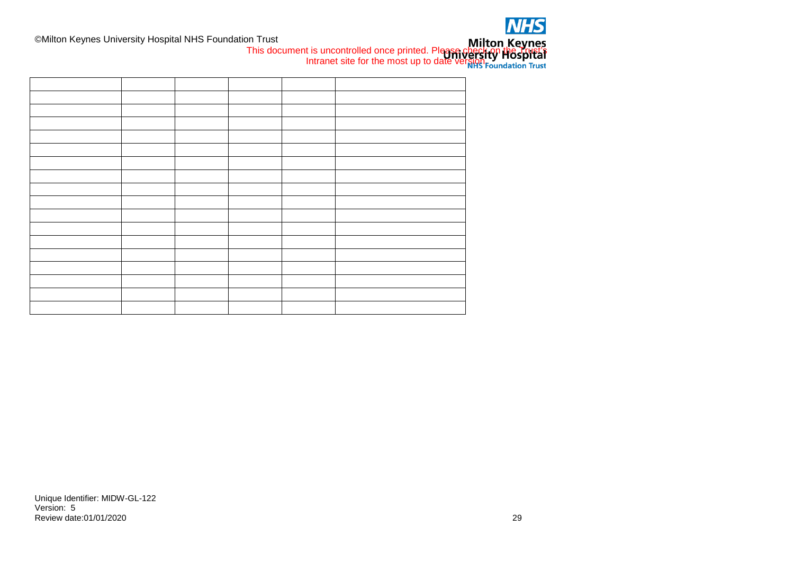

This document is uncontrolled once printed. Please check on the Trust's Intranet site for the most up to date versi**on**.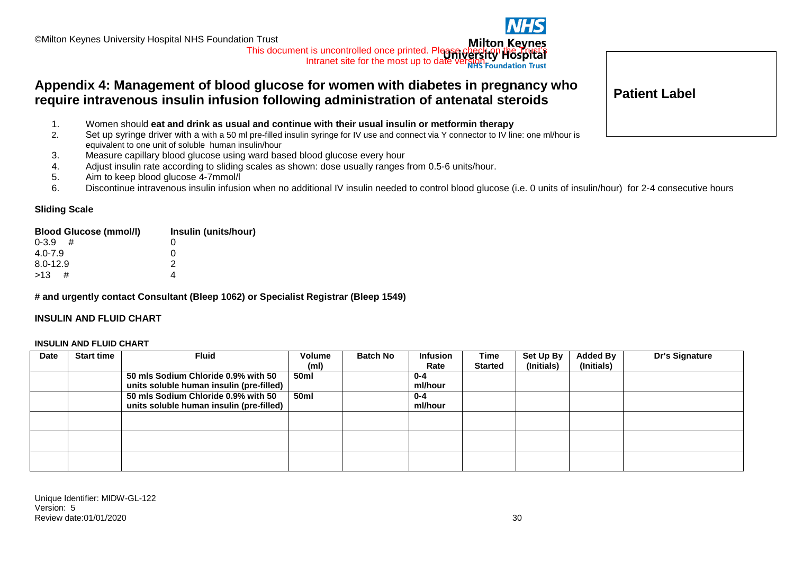

This document is uncontrolled once printed. Please check on the Trust's Intranet site for the most up to date versi**on**.

## **Appendix 4: Management of blood glucose for women with diabetes in pregnancy who require intravenous insulin infusion following administration of antenatal steroids**

- 1. Women should **eat and drink as usual and continue with their usual insulin or metformin therapy**
- 2. Set up syringe driver with a with a 50 ml pre-filled insulin syringe for IV use and connect via Y connector to IV line: one ml/hour is equivalent to one unit of soluble human insulin/hour
- 3. Measure capillary blood glucose using ward based blood glucose every hour
- 4. Adjust insulin rate according to sliding scales as shown: dose usually ranges from 0.5-6 units/hour.
- 5. Aim to keep blood glucose 4-7mmol/l
- 6. Discontinue intravenous insulin infusion when no additional IV insulin needed to control blood glucose (i.e. 0 units of insulin/hour) for 2-4 consecutive hours

#### **Sliding Scale**

| Insulin (units/hour) |
|----------------------|
|                      |
|                      |
| 2                    |
|                      |
|                      |

**# and urgently contact Consultant (Bleep 1062) or Specialist Registrar (Bleep 1549)**

#### <span id="page-29-0"></span>**INSULIN AND FLUID CHART**

#### **INSULIN AND FLUID CHART**

| <b>Date</b> | <b>Start time</b> | <b>Fluid</b>                                                                    | <b>Volume</b><br>(m <sub>l</sub> ) | <b>Batch No</b> | Infusion<br>Rate   | Time<br><b>Started</b> | Set Up By<br>(Initials) | <b>Added By</b><br>(Initials) | Dr's Signature |
|-------------|-------------------|---------------------------------------------------------------------------------|------------------------------------|-----------------|--------------------|------------------------|-------------------------|-------------------------------|----------------|
|             |                   | 50 mls Sodium Chloride 0.9% with 50<br>units soluble human insulin (pre-filled) | <b>50ml</b>                        |                 | $0 - 4$<br>ml/hour |                        |                         |                               |                |
|             |                   | 50 mls Sodium Chloride 0.9% with 50<br>units soluble human insulin (pre-filled) | 50 <sub>ml</sub>                   |                 | $0 - 4$<br>ml/hour |                        |                         |                               |                |
|             |                   |                                                                                 |                                    |                 |                    |                        |                         |                               |                |
|             |                   |                                                                                 |                                    |                 |                    |                        |                         |                               |                |
|             |                   |                                                                                 |                                    |                 |                    |                        |                         |                               |                |

**Patient Label**